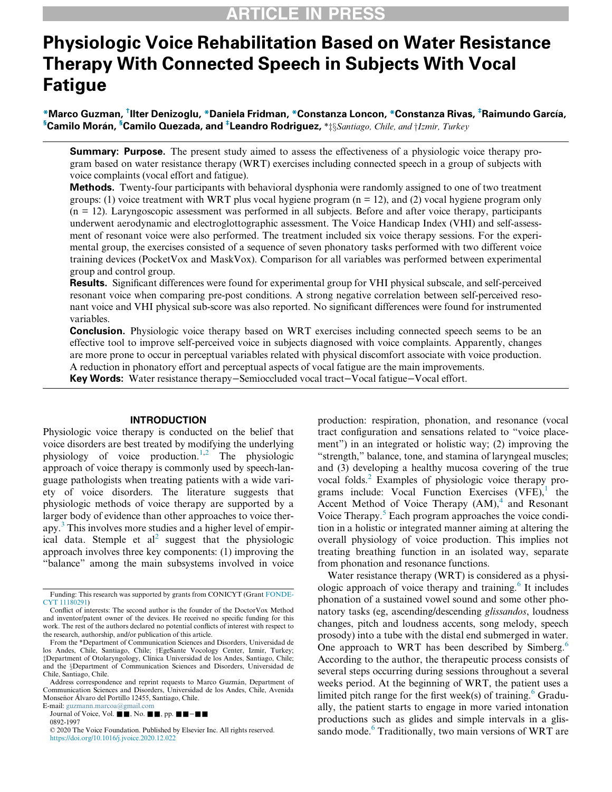# Physiologic Voice Rehabilitation Based on Water Resistance Therapy With Connected Speech in Subjects With Vocal Fatigue

\*Marco Guzman, † Ilter Denizoglu, \*Daniela Fridman, \*Constanza Loncon, \*Constanza Rivas, ‡ Raimundo Garcıa,  $^{\$}$ Camilo Morán,  $^{\$}$ Camilo Quezada, and  $^{\$}$ Leandro Rodriguez,  $*$  $\ddagger \S$ *Santiago, Chile, and*  $\dagger$ Izmir, Turkey

**Summary: Purpose.** The present study aimed to assess the effectiveness of a physiologic voice therapy program based on water resistance therapy (WRT) exercises including connected speech in a group of subjects with voice complaints (vocal effort and fatigue).

Methods. Twenty-four participants with behavioral dysphonia were randomly assigned to one of two treatment groups: (1) voice treatment with WRT plus vocal hygiene program  $(n = 12)$ , and (2) vocal hygiene program only (n = 12). Laryngoscopic assessment was performed in all subjects. Before and after voice therapy, participants underwent aerodynamic and electroglottographic assessment. The Voice Handicap Index (VHI) and self-assessment of resonant voice were also performed. The treatment included six voice therapy sessions. For the experimental group, the exercises consisted of a sequence of seven phonatory tasks performed with two different voice training devices (PocketVox and MaskVox). Comparison for all variables was performed between experimental group and control group.

Results. Significant differences were found for experimental group for VHI physical subscale, and self-perceived resonant voice when comparing pre-post conditions. A strong negative correlation between self-perceived resonant voice and VHI physical sub-score was also reported. No significant differences were found for instrumented variables.

**Conclusion.** Physiologic voice therapy based on WRT exercises including connected speech seems to be an effective tool to improve self-perceived voice in subjects diagnosed with voice complaints. Apparently, changes are more prone to occur in perceptual variables related with physical discomfort associate with voice production. A reduction in phonatory effort and perceptual aspects of vocal fatigue are the main improvements.

Key Words: Water resistance therapy−Semioccluded vocal tract−Vocal fatigue−Vocal effort.

### INTRODUCTION

Physiologic voice therapy is conducted on the belief that voice disorders are best treated by modifying the underlying physiology of voice production.<sup>[1](#page-8-0)[,2](#page-8-1)</sup> The physiologic approach of voice therapy is commonly used by speech-language pathologists when treating patients with a wide variety of voice disorders. The literature suggests that physiologic methods of voice therapy are supported by a larger body of evidence than other approaches to voice ther-apy.<sup>[3](#page-8-2)</sup> This involves more studies and a higher level of empirical data. Stemple et  $al^2$  suggest that the physiologic approach involves three key components: (1) improving the "balance" among the main subsystems involved in voice

E-mail: [guzmann.marcoa@gmail.com](mailto:guzmann.marcoa@gmail.com) Journal of Voice, Vol.  $\blacksquare$ , No.  $\blacksquare$ , pp.  $\blacksquare$  –  $\blacksquare$ 

0892-1997

production: respiration, phonation, and resonance (vocal tract configuration and sensations related to "voice placement") in an integrated or holistic way; (2) improving the "strength," balance, tone, and stamina of laryngeal muscles; and (3) developing a healthy mucosa covering of the true vocal folds.<sup>[2](#page-8-1)</sup> Examples of physiologic voice therapy programs include: Vocal Function Exercises  $(VFE)$ , the Accent Method of Voice Therapy  $(AM)$ , and Resonant Voice Therapy. $5$  Each program approaches the voice condition in a holistic or integrated manner aiming at altering the overall physiology of voice production. This implies not treating breathing function in an isolated way, separate from phonation and resonance functions.

Water resistance therapy (WRT) is considered as a physi-ologic approach of voice therapy and training.<sup>[6](#page-9-1)</sup> It includes phonation of a sustained vowel sound and some other phonatory tasks (eg, ascending/descending glissandos, loudness changes, pitch and loudness accents, song melody, speech prosody) into a tube with the distal end submerged in water. One approach to WRT has been described by Simberg.<sup>[6](#page-9-1)</sup> According to the author, the therapeutic process consists of several steps occurring during sessions throughout a several weeks period. At the beginning of WRT, the patient uses a limited pitch range for the first week(s) of training.<sup>[6](#page-9-1)</sup> Gradually, the patient starts to engage in more varied intonation productions such as glides and simple intervals in a glis-sando mode.<sup>[6](#page-9-1)</sup> Traditionally, two main versions of WRT are

<span id="page-0-0"></span>Funding: This research was supported by grants from CONICYT (Grant [FONDE-](#page-0-0)[CYT 11180291\)](#page-0-0)

Conflict of interests: The second author is the founder of the DoctorVox Method and inventor/patent owner of the devices. He received no specific funding for this work. The rest of the authors declared no potential conflicts of interest with respect to the research, authorship, and/or publication of this article.

From the \*Department of Communication Sciences and Disorders, Universidad de los Andes, Chile, Santiago, Chile; †EgeSante Vocology Center, Izmir, Turkey; zDepartment of Otolaryngology, Clínica Universidad de los Andes, Santiago, Chile; and the §Department of Communication Sciences and Disorders, Universidad de Chile, Santiago, Chile.

Address correspondence and reprint requests to Marco Guzmán, Department of Communication Sciences and Disorders, Universidad de los Andes, Chile, Avenida Monseñor Álvaro del Portillo 12455, Santiago, Chile.

<sup>© 2020</sup> The Voice Foundation. Published by Elsevier Inc. All rights reserved. <https://doi.org/10.1016/j.jvoice.2020.12.022>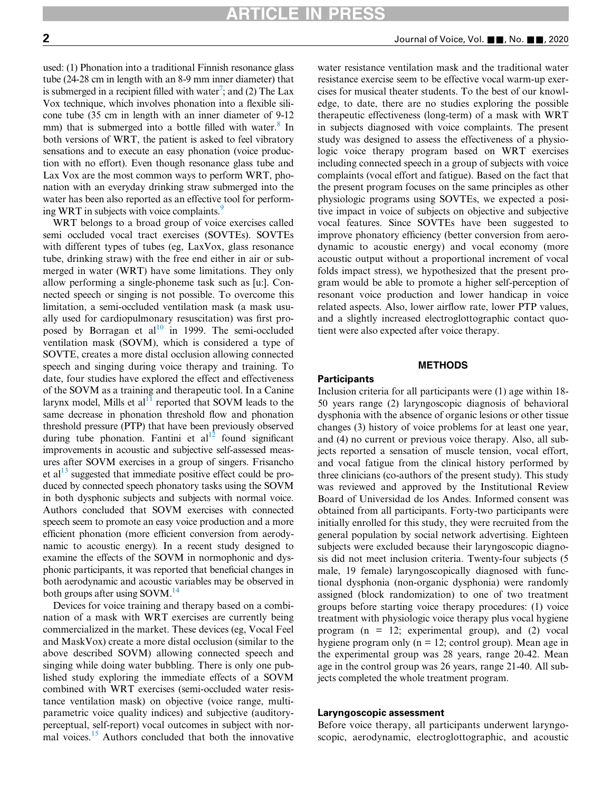used: (1) Phonation into a traditional Finnish resonance glass tube (24-28 cm in length with an 8-9 mm inner diameter) that is submerged in a recipient filled with water<sup>7</sup>; and (2) The Lax Vox technique, which involves phonation into a flexible silicone tube (35 cm in length with an inner diameter of 9-12 mm) that is submerged into a bottle filled with water.<sup>8</sup> In both versions of WRT, the patient is asked to feel vibratory sensations and to execute an easy phonation (voice production with no effort). Even though resonance glass tube and Lax Vox are the most common ways to perform WRT, phonation with an everyday drinking straw submerged into the water has been also reported as an effective tool for performing WRT in subjects with voice complaints.<sup>9</sup>

WRT belongs to a broad group of voice exercises called semi occluded vocal tract exercises (SOVTEs). SOVTEs with different types of tubes (eg, LaxVox, glass resonance tube, drinking straw) with the free end either in air or submerged in water (WRT) have some limitations. They only allow performing a single-phoneme task such as [u:]. Connected speech or singing is not possible. To overcome this limitation, a semi-occluded ventilation mask (a mask usually used for cardiopulmonary resuscitation) was first proposed by Borragan et al<sup>10</sup> in 1999. The semi-occluded ventilation mask (SOVM), which is considered a type of SOVTE, creates a more distal occlusion allowing connected speech and singing during voice therapy and training. To date, four studies have explored the effect and effectiveness of the SOVM as a training and therapeutic tool. In a Canine larynx model, Mills et al<sup>[11](#page-9-6)</sup> reported that SOVM leads to the same decrease in phonation threshold flow and phonation threshold pressure (PTP) that have been previously observed during tube phonation. Fantini et  $al<sup>12</sup>$  found significant improvements in acoustic and subjective self-assessed measures after SOVM exercises in a group of singers. Frisancho et al $^{13}$  $^{13}$  $^{13}$  suggested that immediate positive effect could be produced by connected speech phonatory tasks using the SOVM in both dysphonic subjects and subjects with normal voice. Authors concluded that SOVM exercises with connected speech seem to promote an easy voice production and a more efficient phonation (more efficient conversion from aerodynamic to acoustic energy). In a recent study designed to examine the effects of the SOVM in normophonic and dysphonic participants, it was reported that beneficial changes in both aerodynamic and acoustic variables may be observed in both groups after using  $SovM<sup>14</sup>$ 

Devices for voice training and therapy based on a combination of a mask with WRT exercises are currently being commercialized in the market. These devices (eg, Vocal Feel and MaskVox) create a more distal occlusion (similar to the above described SOVM) allowing connected speech and singing while doing water bubbling. There is only one published study exploring the immediate effects of a SOVM combined with WRT exercises (semi-occluded water resistance ventilation mask) on objective (voice range, multiparametric voice quality indices) and subjective (auditoryperceptual, self-report) vocal outcomes in subject with nor-mal voices.<sup>[15](#page-9-10)</sup> Authors concluded that both the innovative

water resistance ventilation mask and the traditional water resistance exercise seem to be effective vocal warm-up exercises for musical theater students. To the best of our knowledge, to date, there are no studies exploring the possible therapeutic effectiveness (long-term) of a mask with WRT in subjects diagnosed with voice complaints. The present study was designed to assess the effectiveness of a physiologic voice therapy program based on WRT exercises including connected speech in a group of subjects with voice complaints (vocal effort and fatigue). Based on the fact that the present program focuses on the same principles as other physiologic programs using SOVTEs, we expected a positive impact in voice of subjects on objective and subjective vocal features. Since SOVTEs have been suggested to improve phonatory efficiency (better conversion from aerodynamic to acoustic energy) and vocal economy (more acoustic output without a proportional increment of vocal folds impact stress), we hypothesized that the present program would be able to promote a higher self-perception of resonant voice production and lower handicap in voice related aspects. Also, lower airflow rate, lower PTP values, and a slightly increased electroglottographic contact quotient were also expected after voice therapy.

## METHODS

### **Participants**

Inclusion criteria for all participants were (1) age within 18- 50 years range (2) laryngoscopic diagnosis of behavioral dysphonia with the absence of organic lesions or other tissue changes (3) history of voice problems for at least one year, and (4) no current or previous voice therapy. Also, all subjects reported a sensation of muscle tension, vocal effort, and vocal fatigue from the clinical history performed by three clinicians (co-authors of the present study). This study was reviewed and approved by the Institutional Review Board of Universidad de los Andes. Informed consent was obtained from all participants. Forty-two participants were initially enrolled for this study, they were recruited from the general population by social network advertising. Eighteen subjects were excluded because their laryngoscopic diagnosis did not meet inclusion criteria. Twenty-four subjects (5 male, 19 female) laryngoscopically diagnosed with functional dysphonia (non-organic dysphonia) were randomly assigned (block randomization) to one of two treatment groups before starting voice therapy procedures: (1) voice treatment with physiologic voice therapy plus vocal hygiene program  $(n = 12;$  experimental group), and  $(2)$  vocal hygiene program only ( $n = 12$ ; control group). Mean age in the experimental group was 28 years, range 20-42. Mean age in the control group was 26 years, range 21-40. All subjects completed the whole treatment program.

#### Laryngoscopic assessment

Before voice therapy, all participants underwent laryngoscopic, aerodynamic, electroglottographic, and acoustic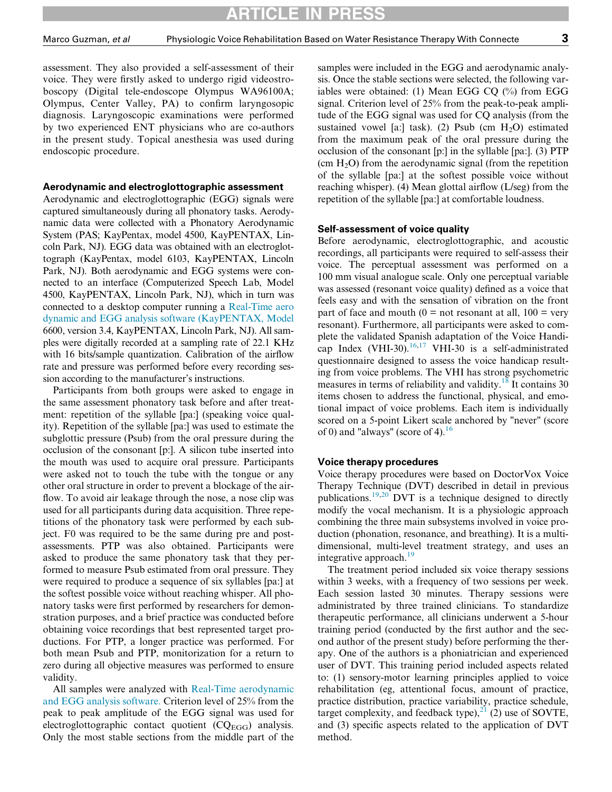CLE IN PR

assessment. They also provided a self-assessment of their voice. They were firstly asked to undergo rigid videostroboscopy (Digital tele-endoscope Olympus WA96100A; Olympus, Center Valley, PA) to confirm laryngosopic diagnosis. Laryngoscopic examinations were performed by two experienced ENT physicians who are co-authors in the present study. Topical anesthesia was used during endoscopic procedure.

#### Aerodynamic and electroglottographic assessment

Aerodynamic and electroglottographic (EGG) signals were captured simultaneously during all phonatory tasks. Aerodynamic data were collected with a Phonatory Aerodynamic System (PAS; KayPentax, model 4500, KayPENTAX, Lincoln Park, NJ). EGG data was obtained with an electroglottograph (KayPentax, model 6103, KayPENTAX, Lincoln Park, NJ). Both aerodynamic and EGG systems were connected to an interface (Computerized Speech Lab, Model 4500, KayPENTAX, Lincoln Park, NJ), which in turn was connected to a desktop computer running a [Real-Time aero](http://www.kaypentax.com/index.php?option=com_product&controller=product&Itemid=3&cid%255b%255d=63&task=pro_details) [dynamic and EGG analysis software \(KayPENTAX, Model](http://www.kaypentax.com/index.php?option=com_product&controller=product&Itemid=3&cid%255b%255d=63&task=pro_details) 6600, version 3.4, KayPENTAX, Lincoln Park, NJ). All samples were digitally recorded at a sampling rate of 22.1 KHz with 16 bits/sample quantization. Calibration of the airflow rate and pressure was performed before every recording session according to the manufacturer's instructions.

Participants from both groups were asked to engage in the same assessment phonatory task before and after treatment: repetition of the syllable [pa:] (speaking voice quality). Repetition of the syllable [pa:] was used to estimate the subglottic pressure (Psub) from the oral pressure during the occlusion of the consonant [p:]. A silicon tube inserted into the mouth was used to acquire oral pressure. Participants were asked not to touch the tube with the tongue or any other oral structure in order to prevent a blockage of the airflow. To avoid air leakage through the nose, a nose clip was used for all participants during data acquisition. Three repetitions of the phonatory task were performed by each subject. F0 was required to be the same during pre and postassessments. PTP was also obtained. Participants were asked to produce the same phonatory task that they performed to measure Psub estimated from oral pressure. They were required to produce a sequence of six syllables [pa:] at the softest possible voice without reaching whisper. All phonatory tasks were first performed by researchers for demonstration purposes, and a brief practice was conducted before obtaining voice recordings that best represented target productions. For PTP, a longer practice was performed. For both mean Psub and PTP, monitorization for a return to zero during all objective measures was performed to ensure validity.

All samples were analyzed with [Real-Time aerodynamic](http://www.kaypentax.com/index.php?option=com_product&controller=product&Itemid=3&cid%255b%255d=63&task=pro_details) [and EGG analysis software.](http://www.kaypentax.com/index.php?option=com_product&controller=product&Itemid=3&cid%255b%255d=63&task=pro_details) Criterion level of 25% from the peak to peak amplitude of the EGG signal was used for electroglottographic contact quotient  $(CQ_{EGG})$  analysis. Only the most stable sections from the middle part of the

samples were included in the EGG and aerodynamic analysis. Once the stable sections were selected, the following variables were obtained: (1) Mean EGG CQ (%) from EGG signal. Criterion level of 25% from the peak-to-peak amplitude of the EGG signal was used for CQ analysis (from the sustained vowel [a:] task). (2) Psub (cm  $H_2O$ ) estimated from the maximum peak of the oral pressure during the occlusion of the consonant [p:] in the syllable [pa:]. (3) PTP (cm  $H<sub>2</sub>O$ ) from the aerodynamic signal (from the repetition of the syllable [pa:] at the softest possible voice without reaching whisper). (4) Mean glottal airflow (L/seg) from the repetition of the syllable [pa:] at comfortable loudness.

#### Self-assessment of voice quality

Before aerodynamic, electroglottographic, and acoustic recordings, all participants were required to self-assess their voice. The perceptual assessment was performed on a 100 mm visual analogue scale. Only one perceptual variable was assessed (resonant voice quality) defined as a voice that feels easy and with the sensation of vibration on the front part of face and mouth ( $0 =$  not resonant at all,  $100 =$  very resonant). Furthermore, all participants were asked to complete the validated Spanish adaptation of the Voice Handi-cap Index (VHI-30).<sup>[16](#page-9-11)[,17](#page-9-12)</sup> VHI-30 is a self-administrated questionnaire designed to assess the voice handicap resulting from voice problems. The VHI has strong psychometric measures in terms of reliability and validity.<sup>[18](#page-9-13)</sup> It contains 30 items chosen to address the functional, physical, and emotional impact of voice problems. Each item is individually scored on a 5-point Likert scale anchored by "never" (score of 0) and "always" (score of 4). $16$ 

#### Voice therapy procedures

Voice therapy procedures were based on DoctorVox Voice Therapy Technique (DVT) described in detail in previous publications.[19,](#page-9-14)[20](#page-9-15) DVT is a technique designed to directly modify the vocal mechanism. It is a physiologic approach combining the three main subsystems involved in voice production (phonation, resonance, and breathing). It is a multidimensional, multi-level treatment strategy, and uses an integrative approach. $19$ 

The treatment period included six voice therapy sessions within 3 weeks, with a frequency of two sessions per week. Each session lasted 30 minutes. Therapy sessions were administrated by three trained clinicians. To standardize therapeutic performance, all clinicians underwent a 5-hour training period (conducted by the first author and the second author of the present study) before performing the therapy. One of the authors is a phoniatrician and experienced user of DVT. This training period included aspects related to: (1) sensory-motor learning principles applied to voice rehabilitation (eg, attentional focus, amount of practice, practice distribution, practice variability, practice schedule, target complexity, and feedback type), $^{21}$  $^{21}$  $^{21}$  (2) use of SOVTE, and (3) specific aspects related to the application of DVT method.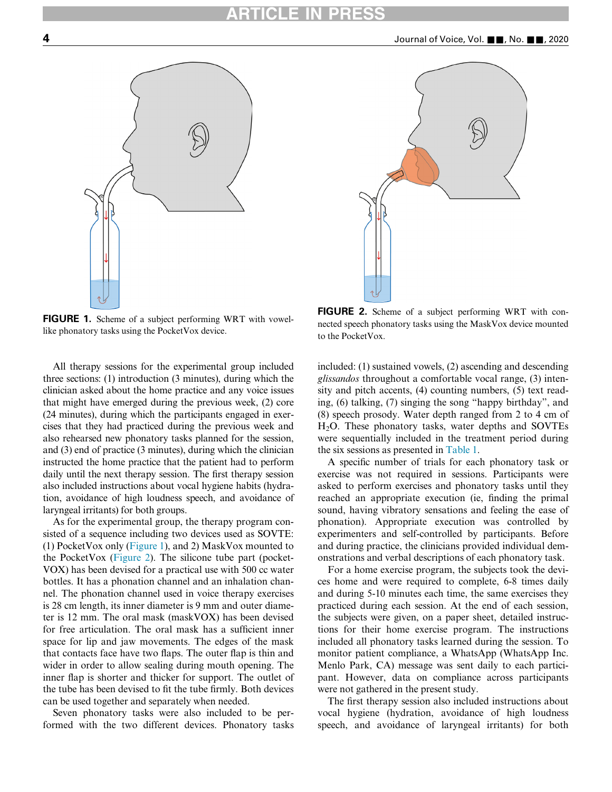<span id="page-3-1"></span><span id="page-3-0"></span>



FIGURE 1. Scheme of a subject performing WRT with vowellike phonatory tasks using the PocketVox device.

All therapy sessions for the experimental group included three sections: (1) introduction (3 minutes), during which the clinician asked about the home practice and any voice issues that might have emerged during the previous week, (2) core (24 minutes), during which the participants engaged in exercises that they had practiced during the previous week and also rehearsed new phonatory tasks planned for the session, and (3) end of practice (3 minutes), during which the clinician instructed the home practice that the patient had to perform daily until the next therapy session. The first therapy session also included instructions about vocal hygiene habits (hydration, avoidance of high loudness speech, and avoidance of laryngeal irritants) for both groups.

As for the experimental group, the therapy program consisted of a sequence including two devices used as SOVTE: (1) PocketVox only [\(Figure 1\)](#page-3-0), and 2) MaskVox mounted to the PocketVox [\(Figure 2](#page-3-1)). The silicone tube part (pocket-VOX) has been devised for a practical use with 500 cc water bottles. It has a phonation channel and an inhalation channel. The phonation channel used in voice therapy exercises is 28 cm length, its inner diameter is 9 mm and outer diameter is 12 mm. The oral mask (maskVOX) has been devised for free articulation. The oral mask has a sufficient inner space for lip and jaw movements. The edges of the mask that contacts face have two flaps. The outer flap is thin and wider in order to allow sealing during mouth opening. The inner flap is shorter and thicker for support. The outlet of the tube has been devised to fit the tube firmly. Both devices can be used together and separately when needed.

Seven phonatory tasks were also included to be performed with the two different devices. Phonatory tasks

FIGURE 2. Scheme of a subject performing WRT with connected speech phonatory tasks using the MaskVox device mounted to the PocketVox.

included: (1) sustained vowels, (2) ascending and descending glissandos throughout a comfortable vocal range, (3) intensity and pitch accents, (4) counting numbers, (5) text reading, (6) talking, (7) singing the song "happy birthday", and (8) speech prosody. Water depth ranged from 2 to 4 cm of H2O. These phonatory tasks, water depths and SOVTEs were sequentially included in the treatment period during the six sessions as presented in [Table 1.](#page-4-0)

A specific number of trials for each phonatory task or exercise was not required in sessions. Participants were asked to perform exercises and phonatory tasks until they reached an appropriate execution (ie, finding the primal sound, having vibratory sensations and feeling the ease of phonation). Appropriate execution was controlled by experimenters and self-controlled by participants. Before and during practice, the clinicians provided individual demonstrations and verbal descriptions of each phonatory task.

For a home exercise program, the subjects took the devices home and were required to complete, 6-8 times daily and during 5-10 minutes each time, the same exercises they practiced during each session. At the end of each session, the subjects were given, on a paper sheet, detailed instructions for their home exercise program. The instructions included all phonatory tasks learned during the session. To monitor patient compliance, a WhatsApp (WhatsApp Inc. Menlo Park, CA) message was sent daily to each participant. However, data on compliance across participants were not gathered in the present study.

The first therapy session also included instructions about vocal hygiene (hydration, avoidance of high loudness speech, and avoidance of laryngeal irritants) for both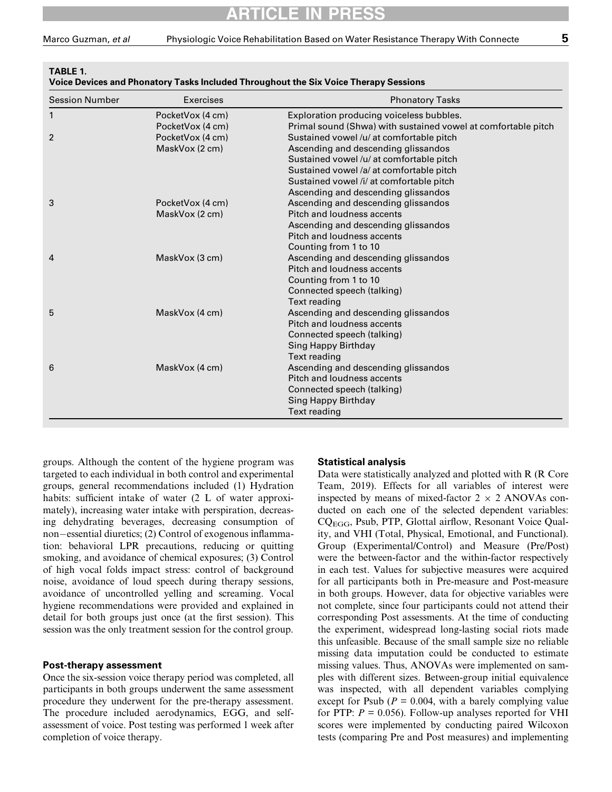<span id="page-4-0"></span>TABLE 1.

| ╸ |  |  |  |
|---|--|--|--|
|   |  |  |  |

| <b>Session Number</b> | <b>Exercises</b> | <b>Phonatory Tasks</b>                                        |  |  |
|-----------------------|------------------|---------------------------------------------------------------|--|--|
| 1                     | PocketVox (4 cm) | Exploration producing voiceless bubbles.                      |  |  |
|                       | PocketVox (4 cm) | Primal sound (Shwa) with sustained vowel at comfortable pitch |  |  |
| $\overline{2}$        | PocketVox (4 cm) | Sustained vowel /u/ at comfortable pitch                      |  |  |
|                       | MaskVox (2 cm)   | Ascending and descending glissandos                           |  |  |
|                       |                  | Sustained vowel/u/ at comfortable pitch                       |  |  |
|                       |                  | Sustained vowel /a/ at comfortable pitch                      |  |  |
|                       |                  | Sustained vowel /i/ at comfortable pitch                      |  |  |
|                       |                  | Ascending and descending glissandos                           |  |  |
| 3                     | PocketVox (4 cm) | Ascending and descending glissandos                           |  |  |
|                       | MaskVox (2 cm)   | Pitch and loudness accents                                    |  |  |
|                       |                  | Ascending and descending glissandos                           |  |  |
|                       |                  | Pitch and loudness accents                                    |  |  |
|                       |                  | Counting from 1 to 10                                         |  |  |
| 4                     | MaskVox (3 cm)   | Ascending and descending glissandos                           |  |  |
|                       |                  | Pitch and loudness accents                                    |  |  |
|                       |                  | Counting from 1 to 10                                         |  |  |
|                       |                  | Connected speech (talking)                                    |  |  |
|                       |                  | <b>Text reading</b>                                           |  |  |
| 5                     | MaskVox (4 cm)   | Ascending and descending glissandos                           |  |  |
|                       |                  | Pitch and loudness accents                                    |  |  |
|                       |                  | Connected speech (talking)                                    |  |  |
|                       |                  | <b>Sing Happy Birthday</b>                                    |  |  |
|                       |                  | <b>Text reading</b>                                           |  |  |
| 6                     | MaskVox (4 cm)   | Ascending and descending glissandos                           |  |  |
|                       |                  | Pitch and loudness accents                                    |  |  |
|                       |                  | Connected speech (talking)                                    |  |  |
|                       |                  | Sing Happy Birthday                                           |  |  |
|                       |                  | <b>Text reading</b>                                           |  |  |

groups. Although the content of the hygiene program was targeted to each individual in both control and experimental groups, general recommendations included (1) Hydration habits: sufficient intake of water (2 L of water approximately), increasing water intake with perspiration, decreasing dehydrating beverages, decreasing consumption of non-essential diuretics; (2) Control of exogenous inflammation: behavioral LPR precautions, reducing or quitting smoking, and avoidance of chemical exposures; (3) Control of high vocal folds impact stress: control of background noise, avoidance of loud speech during therapy sessions, avoidance of uncontrolled yelling and screaming. Vocal hygiene recommendations were provided and explained in detail for both groups just once (at the first session). This session was the only treatment session for the control group.

### Post-therapy assessment

Once the six-session voice therapy period was completed, all participants in both groups underwent the same assessment procedure they underwent for the pre-therapy assessment. The procedure included aerodynamics, EGG, and selfassessment of voice. Post testing was performed 1 week after completion of voice therapy.

#### Statistical analysis

Data were statistically analyzed and plotted with R (R Core Team, 2019). Effects for all variables of interest were inspected by means of mixed-factor  $2 \times 2$  ANOVAs conducted on each one of the selected dependent variables: CQEGG, Psub, PTP, Glottal airflow, Resonant Voice Quality, and VHI (Total, Physical, Emotional, and Functional). Group (Experimental/Control) and Measure (Pre/Post) were the between-factor and the within-factor respectively in each test. Values for subjective measures were acquired for all participants both in Pre-measure and Post-measure in both groups. However, data for objective variables were not complete, since four participants could not attend their corresponding Post assessments. At the time of conducting the experiment, widespread long-lasting social riots made this unfeasible. Because of the small sample size no reliable missing data imputation could be conducted to estimate missing values. Thus, ANOVAs were implemented on samples with different sizes. Between-group initial equivalence was inspected, with all dependent variables complying except for Psub ( $P = 0.004$ , with a barely complying value for PTP:  $P = 0.056$ . Follow-up analyses reported for VHI scores were implemented by conducting paired Wilcoxon tests (comparing Pre and Post measures) and implementing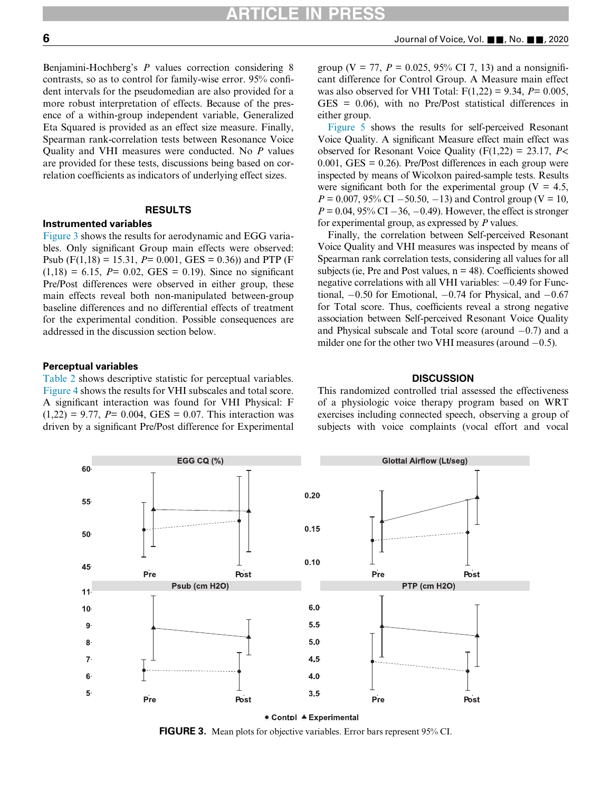Benjamini-Hochberg's P values correction considering 8 contrasts, so as to control for family-wise error. 95% confident intervals for the pseudomedian are also provided for a more robust interpretation of effects. Because of the presence of a within-group independent variable, Generalized Eta Squared is provided as an effect size measure. Finally, Spearman rank-correlation tests between Resonance Voice Quality and VHI measures were conducted. No P values are provided for these tests, discussions being based on correlation coefficients as indicators of underlying effect sizes.

#### RESULTS

#### Instrumented variables

[Figure 3](#page-5-0) shows the results for aerodynamic and EGG variables. Only significant Group main effects were observed: Psub (F(1,18) = 15.31, P= 0.001, GES = 0.36)) and PTP (F  $(1,18) = 6.15$ ,  $P = 0.02$ , GES = 0.19). Since no significant Pre/Post differences were observed in either group, these main effects reveal both non-manipulated between-group baseline differences and no differential effects of treatment for the experimental condition. Possible consequences are addressed in the discussion section below.

#### Perceptual variables

<span id="page-5-0"></span>[Table 2](#page-6-0) shows descriptive statistic for perceptual variables. [Figure 4](#page-6-1) shows the results for VHI subscales and total score. A significant interaction was found for VHI Physical: F  $(1,22) = 9.77$ ,  $P = 0.004$ , GES = 0.07. This interaction was driven by a significant Pre/Post difference for Experimental

group (V = 77,  $P = 0.025$ , 95% CI 7, 13) and a nonsignificant difference for Control Group. A Measure main effect was also observed for VHI Total:  $F(1,22) = 9.34$ ,  $P = 0.005$ , GES = 0.06), with no Pre/Post statistical differences in either group.

[Figure 5](#page-7-0) shows the results for self-perceived Resonant Voice Quality. A significant Measure effect main effect was observed for Resonant Voice Quality ( $F(1,22) = 23.17$ ,  $P \le$  $0.001$ , GES =  $0.26$ ). Pre/Post differences in each group were inspected by means of Wicolxon paired-sample tests. Results were significant both for the experimental group ( $V = 4.5$ ,  $P = 0.007, 95\% \text{ CI} - 50.50, -13)$  and Control group (V = 10,  $P = 0.04, 95\% \text{ CI} - 36, -0.49$ . However, the effect is stronger for experimental group, as expressed by  $P$  values.

Finally, the correlation between Self-perceived Resonant Voice Quality and VHI measures was inspected by means of Spearman rank correlation tests, considering all values for all subjects (ie, Pre and Post values,  $n = 48$ ). Coefficients showed negative correlations with all VHI variables:  $-0.49$  for Functional,  $-0.50$  for Emotional,  $-0.74$  for Physical, and  $-0.67$ for Total score. Thus, coefficients reveal a strong negative association between Self-perceived Resonant Voice Quality and Physical subscale and Total score (around  $-0.7$ ) and a milder one for the other two VHI measures (around  $-0.5$ ).

#### **DISCUSSION**

This randomized controlled trial assessed the effectiveness of a physiologic voice therapy program based on WRT exercises including connected speech, observing a group of subjects with voice complaints (vocal effort and vocal



FIGURE 3. Mean plots for objective variables. Error bars represent 95% CI.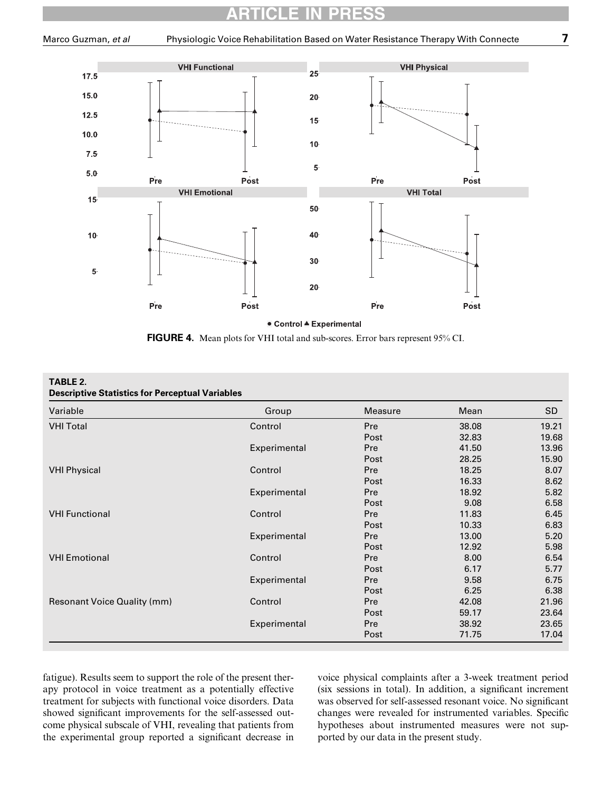<span id="page-6-1"></span>

FIGURE 4. Mean plots for VHI total and sub-scores. Error bars represent 95% CI.

<span id="page-6-0"></span>

| TABLE 2.<br><b>Descriptive Statistics for Perceptual Variables</b> |              |         |       |       |  |  |  |
|--------------------------------------------------------------------|--------------|---------|-------|-------|--|--|--|
| Variable                                                           | Group        | Measure | Mean  | SD    |  |  |  |
| <b>VHI Total</b>                                                   | Control      | Pre     | 38.08 | 19.21 |  |  |  |
|                                                                    |              | Post    | 32.83 | 19.68 |  |  |  |
|                                                                    | Experimental | Pre     | 41.50 | 13.96 |  |  |  |
|                                                                    |              | Post    | 28.25 | 15.90 |  |  |  |
| <b>VHI Physical</b>                                                | Control      | Pre     | 18.25 | 8.07  |  |  |  |
|                                                                    |              | Post    | 16.33 | 8.62  |  |  |  |
|                                                                    | Experimental | Pre     | 18.92 | 5.82  |  |  |  |
|                                                                    |              | Post    | 9.08  | 6.58  |  |  |  |
| <b>VHI Functional</b>                                              | Control      | Pre     | 11.83 | 6.45  |  |  |  |
|                                                                    |              | Post    | 10.33 | 6.83  |  |  |  |
|                                                                    | Experimental | Pre     | 13.00 | 5.20  |  |  |  |
|                                                                    |              | Post    | 12.92 | 5.98  |  |  |  |
| <b>VHI Emotional</b>                                               | Control      | Pre     | 8.00  | 6.54  |  |  |  |
|                                                                    |              | Post    | 6.17  | 5.77  |  |  |  |
|                                                                    | Experimental | Pre     | 9.58  | 6.75  |  |  |  |
|                                                                    |              | Post    | 6.25  | 6.38  |  |  |  |
| <b>Resonant Voice Quality (mm)</b>                                 | Control      | Pre     | 42.08 | 21.96 |  |  |  |
|                                                                    |              | Post    | 59.17 | 23.64 |  |  |  |
|                                                                    | Experimental | Pre     | 38.92 | 23.65 |  |  |  |
|                                                                    |              | Post    | 71.75 | 17.04 |  |  |  |

fatigue). Results seem to support the role of the present therapy protocol in voice treatment as a potentially effective treatment for subjects with functional voice disorders. Data showed significant improvements for the self-assessed outcome physical subscale of VHI, revealing that patients from the experimental group reported a significant decrease in

voice physical complaints after a 3-week treatment period (six sessions in total). In addition, a significant increment was observed for self-assessed resonant voice. No significant changes were revealed for instrumented variables. Specific hypotheses about instrumented measures were not supported by our data in the present study.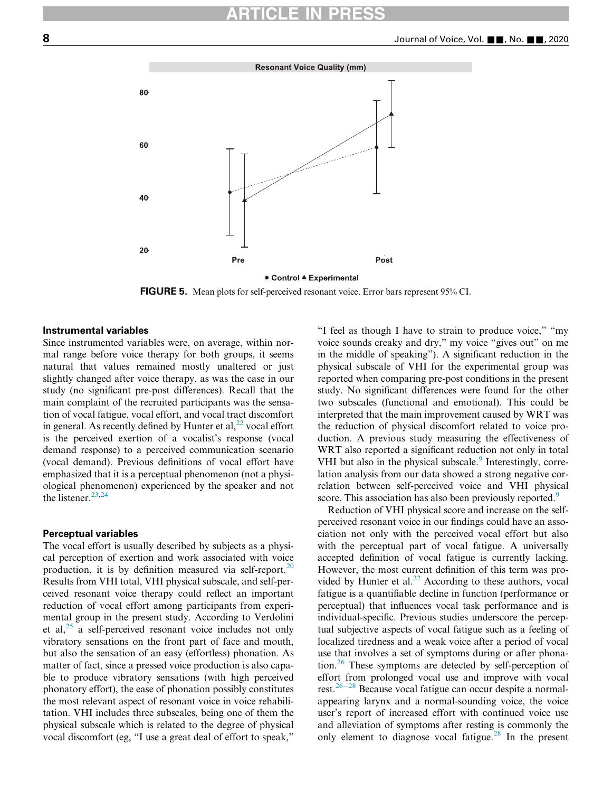<span id="page-7-0"></span>

FIGURE 5. Mean plots for self-perceived resonant voice. Error bars represent 95% CI.

### Instrumental variables

Since instrumented variables were, on average, within normal range before voice therapy for both groups, it seems natural that values remained mostly unaltered or just slightly changed after voice therapy, as was the case in our study (no significant pre-post differences). Recall that the main complaint of the recruited participants was the sensation of vocal fatigue, vocal effort, and vocal tract discomfort in general. As recently defined by Hunter et al,  $^{22}$  $^{22}$  $^{22}$  vocal effort is the perceived exertion of a vocalist's response (vocal demand response) to a perceived communication scenario (vocal demand). Previous definitions of vocal effort have emphasized that it is a perceptual phenomenon (not a physiological phenomenon) experienced by the speaker and not the listener. $^{23,24}$  $^{23,24}$  $^{23,24}$  $^{23,24}$ 

#### Perceptual variables

The vocal effort is usually described by subjects as a physical perception of exertion and work associated with voice production, it is by definition measured via self-report.<sup>[20](#page-9-15)</sup> Results from VHI total, VHI physical subscale, and self-perceived resonant voice therapy could reflect an important reduction of vocal effort among participants from experimental group in the present study. According to Verdolini et al, $^{25}$  $^{25}$  $^{25}$  a self-perceived resonant voice includes not only vibratory sensations on the front part of face and mouth, but also the sensation of an easy (effortless) phonation. As matter of fact, since a pressed voice production is also capable to produce vibratory sensations (with high perceived phonatory effort), the ease of phonation possibly constitutes the most relevant aspect of resonant voice in voice rehabilitation. VHI includes three subscales, being one of them the physical subscale which is related to the degree of physical vocal discomfort (eg, "I use a great deal of effort to speak,"

"I feel as though I have to strain to produce voice," "my voice sounds creaky and dry," my voice "gives out" on me in the middle of speaking"). A significant reduction in the physical subscale of VHI for the experimental group was reported when comparing pre-post conditions in the present study. No significant differences were found for the other two subscales (functional and emotional). This could be interpreted that the main improvement caused by WRT was the reduction of physical discomfort related to voice production. A previous study measuring the effectiveness of WRT also reported a significant reduction not only in total VHI but also in the physical subscale.<sup>[9](#page-9-4)</sup> Interestingly, correlation analysis from our data showed a strong negative correlation between self-perceived voice and VHI physical score. This association has also been previously reported.<sup>[9](#page-9-4)</sup>

Reduction of VHI physical score and increase on the selfperceived resonant voice in our findings could have an association not only with the perceived vocal effort but also with the perceptual part of vocal fatigue. A universally accepted definition of vocal fatigue is currently lacking. However, the most current definition of this term was provided by Hunter et al. $^{22}$  $^{22}$  $^{22}$  According to these authors, vocal fatigue is a quantifiable decline in function (performance or perceptual) that influences vocal task performance and is individual-specific. Previous studies underscore the perceptual subjective aspects of vocal fatigue such as a feeling of localized tiredness and a weak voice after a period of vocal use that involves a set of symptoms during or after phonation.[26](#page-9-21) These symptoms are detected by self-perception of effort from prolonged vocal use and improve with vocal rest.26−[28](#page-9-21) Because vocal fatigue can occur despite a normalappearing larynx and a normal-sounding voice, the voice user's report of increased effort with continued voice use and alleviation of symptoms after resting is commonly the only element to diagnose vocal fatigue.<sup>[28](#page-9-22)</sup> In the present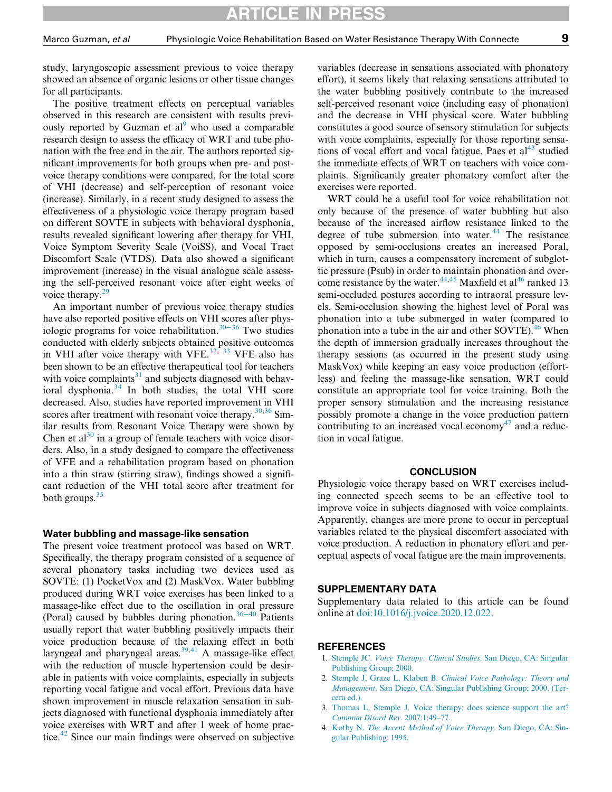study, laryngoscopic assessment previous to voice therapy showed an absence of organic lesions or other tissue changes for all participants.

The positive treatment effects on perceptual variables observed in this research are consistent with results previously reported by Guzman et  $al^9$  $al^9$  who used a comparable research design to assess the efficacy of WRT and tube phonation with the free end in the air. The authors reported significant improvements for both groups when pre- and postvoice therapy conditions were compared, for the total score of VHI (decrease) and self-perception of resonant voice (increase). Similarly, in a recent study designed to assess the effectiveness of a physiologic voice therapy program based on different SOVTE in subjects with behavioral dysphonia, results revealed significant lowering after therapy for VHI, Voice Symptom Severity Scale (VoiSS), and Vocal Tract Discomfort Scale (VTDS). Data also showed a significant improvement (increase) in the visual analogue scale assessing the self-perceived resonant voice after eight weeks of voice therapy.<sup>[29](#page-9-23)</sup>

An important number of previous voice therapy studies have also reported positive effects on VHI scores after physiologic programs for voice rehabilitation.[30](#page-9-24)−<sup>36</sup> Two studies conducted with elderly subjects obtained positive outcomes in VHI after voice therapy with VFE.<sup>[32,](#page-9-25) [33](#page-9-26)</sup> VFE also has been shown to be an effective therapeutical tool for teachers with voice complaints $31$  and subjects diagnosed with behavioral dysphonia.[34](#page-9-28) In both studies, the total VHI score decreased. Also, studies have reported improvement in VHI scores after treatment with resonant voice therapy. $30,36$  $30,36$  $30,36$  Similar results from Resonant Voice Therapy were shown by Chen et al<sup>[30](#page-9-24)</sup> in a group of female teachers with voice disorders. Also, in a study designed to compare the effectiveness of VFE and a rehabilitation program based on phonation into a thin straw (stirring straw), findings showed a significant reduction of the VHI total score after treatment for both groups. $35$ 

#### Water bubbling and massage-like sensation

<span id="page-8-3"></span><span id="page-8-2"></span><span id="page-8-1"></span><span id="page-8-0"></span>The present voice treatment protocol was based on WRT. Specifically, the therapy program consisted of a sequence of several phonatory tasks including two devices used as SOVTE: (1) PocketVox and (2) MaskVox. Water bubbling produced during WRT voice exercises has been linked to a massage-like effect due to the oscillation in oral pressure (Poral) caused by bubbles during phonation.<sup>[36](#page-9-29)–40</sup> Patients usually report that water bubbling positively impacts their voice production because of the relaxing effect in both laryngeal and pharyngeal areas. $39,41$  $39,41$  A massage-like effect with the reduction of muscle hypertension could be desirable in patients with voice complaints, especially in subjects reporting vocal fatigue and vocal effort. Previous data have shown improvement in muscle relaxation sensation in subjects diagnosed with functional dysphonia immediately after voice exercises with WRT and after 1 week of home prac-tice.<sup>[42](#page-9-33)</sup> Since our main findings were observed on subjective

variables (decrease in sensations associated with phonatory effort), it seems likely that relaxing sensations attributed to the water bubbling positively contribute to the increased self-perceived resonant voice (including easy of phonation) and the decrease in VHI physical score. Water bubbling constitutes a good source of sensory stimulation for subjects with voice complaints, especially for those reporting sensations of vocal effort and vocal fatigue. Paes et  $al<sup>43</sup>$  $al<sup>43</sup>$  $al<sup>43</sup>$  studied the immediate effects of WRT on teachers with voice complaints. Significantly greater phonatory comfort after the exercises were reported.

WRT could be a useful tool for voice rehabilitation not only because of the presence of water bubbling but also because of the increased airflow resistance linked to the degree of tube submersion into water. $44$  The resistance opposed by semi-occlusions creates an increased Poral, which in turn, causes a compensatory increment of subglottic pressure (Psub) in order to maintain phonation and overcome resistance by the water. $44,45$  $44,45$  Maxfield et al<sup>46</sup> ranked 13 semi-occluded postures according to intraoral pressure levels. Semi-occlusion showing the highest level of Poral was phonation into a tube submerged in water (compared to phonation into a tube in the air and other SOVTE).<sup>[46](#page-9-37)</sup> When the depth of immersion gradually increases throughout the therapy sessions (as occurred in the present study using MaskVox) while keeping an easy voice production (effortless) and feeling the massage-like sensation, WRT could constitute an appropriate tool for voice training. Both the proper sensory stimulation and the increasing resistance possibly promote a change in the voice production pattern contributing to an increased vocal economy<sup>[47](#page-9-38)</sup> and a reduction in vocal fatigue.

#### **CONCLUSION**

Physiologic voice therapy based on WRT exercises including connected speech seems to be an effective tool to improve voice in subjects diagnosed with voice complaints. Apparently, changes are more prone to occur in perceptual variables related to the physical discomfort associated with voice production. A reduction in phonatory effort and perceptual aspects of vocal fatigue are the main improvements.

### SUPPLEMENTARY DATA

Supplementary data related to this article can be found online at [doi:10.1016/j.jvoice.2020.12.022](https://doi.org/10.1016/j.jvoice.2020.12.022).

#### **REFERENCES**

- 1. Stemple JC. [Voice Therapy: Clinical Studies](http://refhub.elsevier.com/S0892-1997(20)30482-3/sbref0001). San Diego, CA: Singular [Publishing Group; 2000.](http://refhub.elsevier.com/S0892-1997(20)30482-3/sbref0001)
- 2. Stemple J, Graze L, Klaben B. [Clinical Voice Pathology: Theory and](http://refhub.elsevier.com/S0892-1997(20)30482-3/sbref0002) Management[. San Diego, CA: Singular Publishing Group; 2000. \(Ter](http://refhub.elsevier.com/S0892-1997(20)30482-3/sbref0002)[cera ed.\).](http://refhub.elsevier.com/S0892-1997(20)30482-3/sbref0002)
- 3. [Thomas L, Stemple J. Voice therapy: does science support the art?](http://refhub.elsevier.com/S0892-1997(20)30482-3/sbref0003) [Commun Disord Rev](http://refhub.elsevier.com/S0892-1997(20)30482-3/sbref0003). 2007;1:49–77.
- 4. Kotby N. [The Accent Method of Voice Therapy](http://refhub.elsevier.com/S0892-1997(20)30482-3/sbref0004). San Diego, CA: Sin[gular Publishing; 1995.](http://refhub.elsevier.com/S0892-1997(20)30482-3/sbref0004)